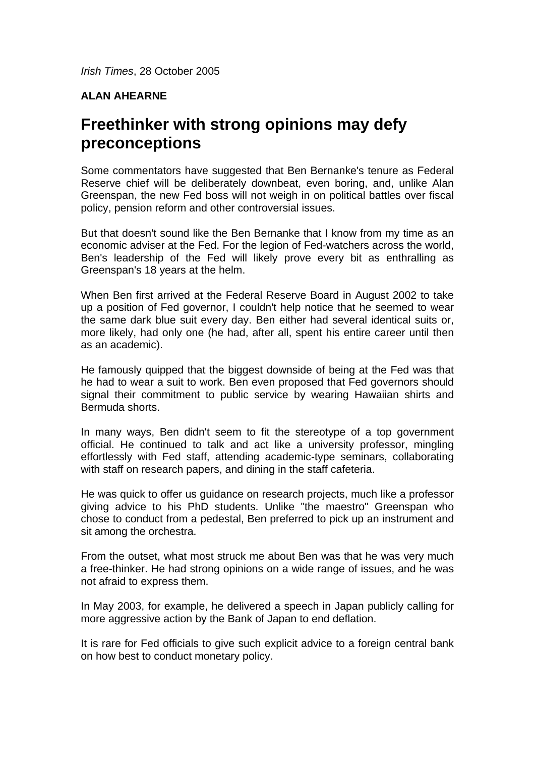## **ALAN AHEARNE**

## **Freethinker with strong opinions may defy preconceptions**

Some commentators have suggested that Ben Bernanke's tenure as Federal Reserve chief will be deliberately downbeat, even boring, and, unlike Alan Greenspan, the new Fed boss will not weigh in on political battles over fiscal policy, pension reform and other controversial issues.

But that doesn't sound like the Ben Bernanke that I know from my time as an economic adviser at the Fed. For the legion of Fed-watchers across the world, Ben's leadership of the Fed will likely prove every bit as enthralling as Greenspan's 18 years at the helm.

When Ben first arrived at the Federal Reserve Board in August 2002 to take up a position of Fed governor, I couldn't help notice that he seemed to wear the same dark blue suit every day. Ben either had several identical suits or, more likely, had only one (he had, after all, spent his entire career until then as an academic).

He famously quipped that the biggest downside of being at the Fed was that he had to wear a suit to work. Ben even proposed that Fed governors should signal their commitment to public service by wearing Hawaiian shirts and Bermuda shorts.

In many ways, Ben didn't seem to fit the stereotype of a top government official. He continued to talk and act like a university professor, mingling effortlessly with Fed staff, attending academic-type seminars, collaborating with staff on research papers, and dining in the staff cafeteria.

He was quick to offer us guidance on research projects, much like a professor giving advice to his PhD students. Unlike "the maestro" Greenspan who chose to conduct from a pedestal, Ben preferred to pick up an instrument and sit among the orchestra.

From the outset, what most struck me about Ben was that he was very much a free-thinker. He had strong opinions on a wide range of issues, and he was not afraid to express them.

In May 2003, for example, he delivered a speech in Japan publicly calling for more aggressive action by the Bank of Japan to end deflation.

It is rare for Fed officials to give such explicit advice to a foreign central bank on how best to conduct monetary policy.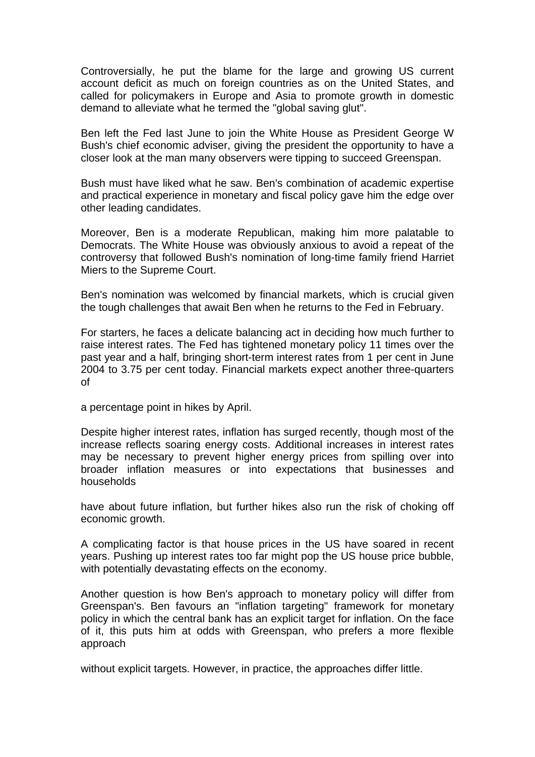Controversially, he put the blame for the large and growing US current account deficit as much on foreign countries as on the United States, and called for policymakers in Europe and Asia to promote growth in domestic demand to alleviate what he termed the "global saving glut".

Ben left the Fed last June to join the White House as President George W Bush's chief economic adviser, giving the president the opportunity to have a closer look at the man many observers were tipping to succeed Greenspan.

Bush must have liked what he saw. Ben's combination of academic expertise and practical experience in monetary and fiscal policy gave him the edge over other leading candidates.

Moreover, Ben is a moderate Republican, making him more palatable to Democrats. The White House was obviously anxious to avoid a repeat of the controversy that followed Bush's nomination of long-time family friend Harriet Miers to the Supreme Court.

Ben's nomination was welcomed by financial markets, which is crucial given the tough challenges that await Ben when he returns to the Fed in February.

For starters, he faces a delicate balancing act in deciding how much further to raise interest rates. The Fed has tightened monetary policy 11 times over the past year and a half, bringing short-term interest rates from 1 per cent in June 2004 to 3.75 per cent today. Financial markets expect another three-quarters of

a percentage point in hikes by April.

Despite higher interest rates, inflation has surged recently, though most of the increase reflects soaring energy costs. Additional increases in interest rates may be necessary to prevent higher energy prices from spilling over into broader inflation measures or into expectations that businesses and households

have about future inflation, but further hikes also run the risk of choking off economic growth.

A complicating factor is that house prices in the US have soared in recent years. Pushing up interest rates too far might pop the US house price bubble, with potentially devastating effects on the economy.

Another question is how Ben's approach to monetary policy will differ from Greenspan's. Ben favours an "inflation targeting" framework for monetary policy in which the central bank has an explicit target for inflation. On the face of it, this puts him at odds with Greenspan, who prefers a more flexible approach

without explicit targets. However, in practice, the approaches differ little.